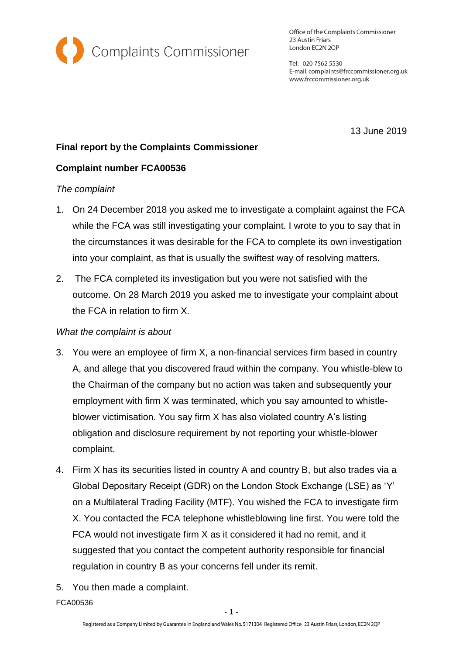

Office of the Complaints Commissioner 23 Austin Friars London EC2N 2QP

Tel: 020 7562 5530 E-mail: complaints@frccommissioner.org.uk www.frccommissioner.org.uk

13 June 2019

# **Final report by the Complaints Commissioner**

## **Complaint number FCA00536**

### *The complaint*

- 1. On 24 December 2018 you asked me to investigate a complaint against the FCA while the FCA was still investigating your complaint. I wrote to you to say that in the circumstances it was desirable for the FCA to complete its own investigation into your complaint, as that is usually the swiftest way of resolving matters.
- 2. The FCA completed its investigation but you were not satisfied with the outcome. On 28 March 2019 you asked me to investigate your complaint about the FCA in relation to firm X.

### *What the complaint is about*

- 3. You were an employee of firm X, a non-financial services firm based in country A, and allege that you discovered fraud within the company. You whistle-blew to the Chairman of the company but no action was taken and subsequently your employment with firm X was terminated, which you say amounted to whistleblower victimisation. You say firm X has also violated country A's listing obligation and disclosure requirement by not reporting your whistle-blower complaint.
- 4. Firm X has its securities listed in country A and country B, but also trades via a Global Depositary Receipt (GDR) on the London Stock Exchange (LSE) as 'Y' on a Multilateral Trading Facility (MTF). You wished the FCA to investigate firm X. You contacted the FCA telephone whistleblowing line first. You were told the FCA would not investigate firm X as it considered it had no remit, and it suggested that you contact the competent authority responsible for financial regulation in country B as your concerns fell under its remit.
- 5. You then made a complaint.

FCA00536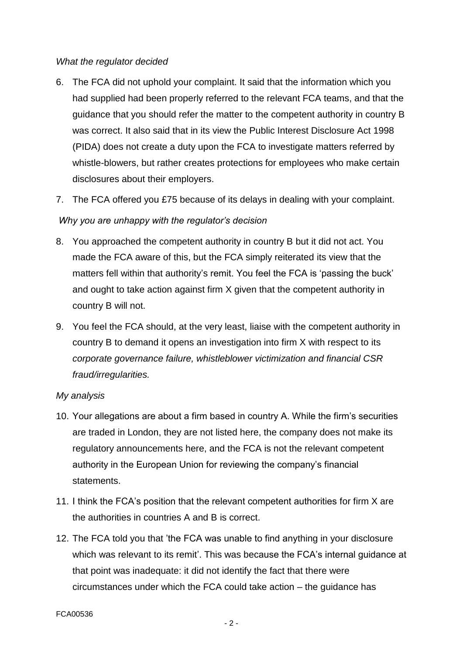#### *What the regulator decided*

- 6. The FCA did not uphold your complaint. It said that the information which you had supplied had been properly referred to the relevant FCA teams, and that the guidance that you should refer the matter to the competent authority in country B was correct. It also said that in its view the Public Interest Disclosure Act 1998 (PIDA) does not create a duty upon the FCA to investigate matters referred by whistle-blowers, but rather creates protections for employees who make certain disclosures about their employers.
- 7. The FCA offered you £75 because of its delays in dealing with your complaint.

# *Why you are unhappy with the regulator's decision*

- 8. You approached the competent authority in country B but it did not act. You made the FCA aware of this, but the FCA simply reiterated its view that the matters fell within that authority's remit. You feel the FCA is 'passing the buck' and ought to take action against firm X given that the competent authority in country B will not.
- 9. You feel the FCA should, at the very least, liaise with the competent authority in country B to demand it opens an investigation into firm X with respect to its *corporate governance failure, whistleblower victimization and financial CSR fraud/irregularities.*

## *My analysis*

- 10. Your allegations are about a firm based in country A. While the firm's securities are traded in London, they are not listed here, the company does not make its regulatory announcements here, and the FCA is not the relevant competent authority in the European Union for reviewing the company's financial statements.
- 11. I think the FCA's position that the relevant competent authorities for firm X are the authorities in countries A and B is correct.
- 12. The FCA told you that 'the FCA was unable to find anything in your disclosure which was relevant to its remit'. This was because the FCA's internal guidance at that point was inadequate: it did not identify the fact that there were circumstances under which the FCA could take action – the guidance has